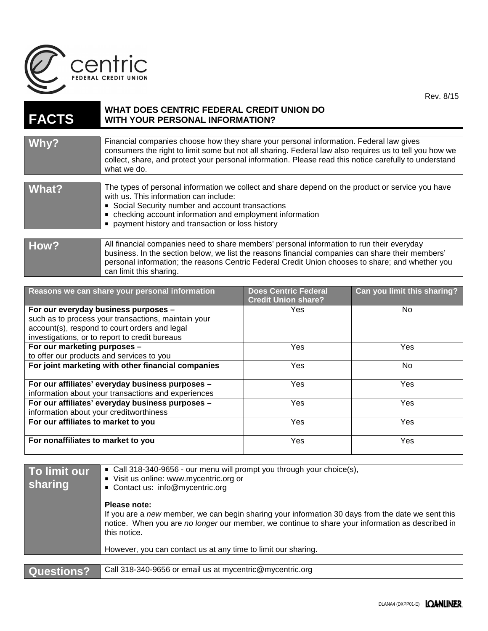

| <b>FACTS</b> | WHAT DOES CENTRIC FEDERAL CREDIT UNION DO<br><b>WITH YOUR PERSONAL INFORMATION?</b>                                                                                                                                                                                                                                       |
|--------------|---------------------------------------------------------------------------------------------------------------------------------------------------------------------------------------------------------------------------------------------------------------------------------------------------------------------------|
|              |                                                                                                                                                                                                                                                                                                                           |
| Why?         | Financial companies choose how they share your personal information. Federal law gives<br>consumers the right to limit some but not all sharing. Federal law also requires us to tell you how we<br>collect, share, and protect your personal information. Please read this notice carefully to understand<br>what we do. |
|              |                                                                                                                                                                                                                                                                                                                           |
| What?        | The types of personal information we collect and share depend on the product or service you have<br>with us. This information can include:<br>• Social Security number and account transactions<br>• checking account information and employment information<br>payment history and transaction or loss history           |
|              |                                                                                                                                                                                                                                                                                                                           |
| How?         | All financial companies need to share members' personal information to run their everyday<br>business. In the section below, we list the reasons financial companies can share their members'<br>personal information; the reasons Centric Federal Credit Union chooses to share; and whether you                         |

can limit this sharing.

| Reasons we can share your personal information      | <b>Does Centric Federal</b><br><b>Credit Union share?</b> | Can you limit this sharing? |
|-----------------------------------------------------|-----------------------------------------------------------|-----------------------------|
| For our everyday business purposes -                | Yes.                                                      | No                          |
| such as to process your transactions, maintain your |                                                           |                             |
| account(s), respond to court orders and legal       |                                                           |                             |
| investigations, or to report to credit bureaus      |                                                           |                             |
| For our marketing purposes -                        | Yes                                                       | Yes                         |
| to offer our products and services to you           |                                                           |                             |
| For joint marketing with other financial companies  | Yes                                                       | No.                         |
| For our affiliates' everyday business purposes -    | Yes                                                       | <b>Yes</b>                  |
| information about your transactions and experiences |                                                           |                             |
| For our affiliates' everyday business purposes -    | Yes                                                       | Yes                         |
| information about your creditworthiness             |                                                           |                             |
| For our affiliates to market to you                 | Yes                                                       | Yes                         |
| For nonaffiliates to market to you                  | <b>Yes</b>                                                | <b>Yes</b>                  |
|                                                     |                                                           |                             |

| To limit our<br>sharing | • Call 318-340-9656 - our menu will prompt you through your choice(s),<br>Visit us online: www.mycentric.org or<br>Contact us: info@mycentric.org                                                                                     |
|-------------------------|---------------------------------------------------------------------------------------------------------------------------------------------------------------------------------------------------------------------------------------|
|                         | Please note:<br>If you are a new member, we can begin sharing your information 30 days from the date we sent this<br>notice. When you are no longer our member, we continue to share your information as described in<br>this notice. |
|                         | However, you can contact us at any time to limit our sharing.                                                                                                                                                                         |
|                         |                                                                                                                                                                                                                                       |
| <b>Questions?</b>       | Call 318-340-9656 or email us at mycentric@mycentric.org                                                                                                                                                                              |